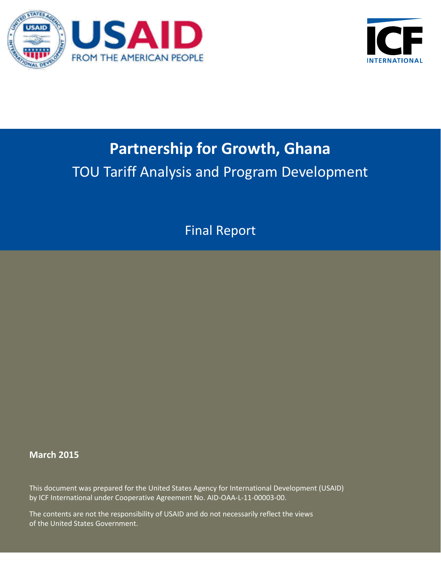



# **Partnership for Growth, Ghana** TOU Tariff Analysis and Program Development

Final Report

### **March 2015**

This document was prepared for the United States Agency for International Development (USAID) by ICF International under Cooperative Agreement No. AID-OAA-L-11-00003-00.

The contents are not the responsibility of USAID and do not necessarily reflect the views of the United States Government.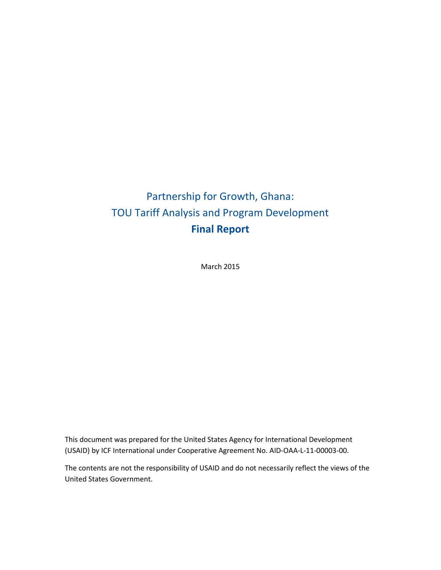## Partnership for Growth, Ghana: TOU Tariff Analysis and Program Development **Final Report**

March 2015

This document was prepared for the United States Agency for International Development (USAID) by ICF International under Cooperative Agreement No. AID-OAA-L-11-00003-00.

The contents are not the responsibility of USAID and do not necessarily reflect the views of the United States Government.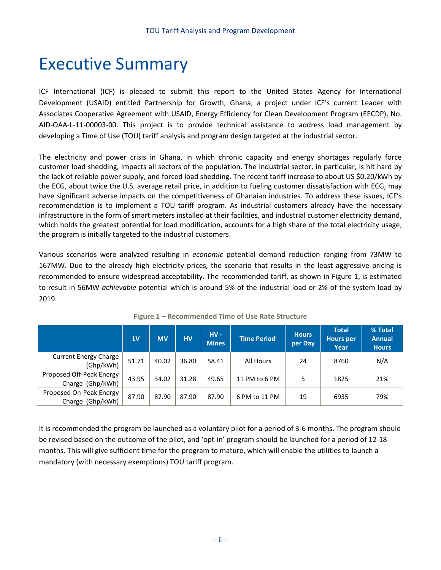## Executive Summary

ICF International (ICF) is pleased to submit this report to the United States Agency for International Development (USAID) entitled Partnership for Growth, Ghana, a project under ICF's current Leader with Associates Cooperative Agreement with USAID, Energy Efficiency for Clean Development Program (EECDP), No. AID-OAA-L-11-00003-00. This project is to provide technical assistance to address load management by developing a Time of Use (TOU) tariff analysis and program design targeted at the industrial sector.

The electricity and power crisis in Ghana, in which chronic capacity and energy shortages regularly force customer load shedding, impacts all sectors of the population. The industrial sector, in particular, is hit hard by the lack of reliable power supply, and forced load shedding. The recent tariff increase to about US \$0.20/kWh by the ECG, about twice the U.S. average retail price, in addition to fueling customer dissatisfaction with ECG, may have significant adverse impacts on the competitiveness of Ghanaian industries. To address these issues, ICF's recommendation is to implement a TOU tariff program. As industrial customers already have the necessary infrastructure in the form of smart meters installed at their facilities, and industrial customer electricity demand, which holds the greatest potential for load modification, accounts for a high share of the total electricity usage, the program is initially targeted to the industrial customers.

Various scenarios were analyzed resulting in *economic* potential demand reduction ranging from 73MW to 167MW. Due to the already high electricity prices, the scenario that results in the least aggressive pricing is recommended to ensure widespread acceptability. The recommended tariff, as shown in [Figure 1,](#page-3-0) is estimated to result in 56MW *achievable* potential which is around 5% of the industrial load or 2% of the system load by 2019.

<span id="page-3-0"></span>

|                                              | LV    | <b>MV</b> | <b>HV</b> | $HV -$<br><b>Mines</b> | <b>Time Period</b> <sup>i</sup> | <b>Hours</b><br>per Day | <b>Total</b><br><b>Hours</b> per<br>Year | % Total<br><b>Annual</b><br><b>Hours</b> |
|----------------------------------------------|-------|-----------|-----------|------------------------|---------------------------------|-------------------------|------------------------------------------|------------------------------------------|
| <b>Current Energy Charge</b><br>(Ghp/kWh)    | 51.71 | 40.02     | 36.80     | 58.41                  | All Hours                       | 24                      | 8760                                     | N/A                                      |
| Proposed Off-Peak Energy<br>Charge (Ghp/kWh) | 43.95 | 34.02     | 31.28     | 49.65                  | 11 PM to 6 PM                   | 5                       | 1825                                     | 21%                                      |
| Proposed On-Peak Energy<br>Charge (Ghp/kWh)  | 87.90 | 87.90     | 87.90     | 87.90                  | 6 PM to 11 PM                   | 19                      | 6935                                     | 79%                                      |

**Figure 1 – Recommended Time of Use Rate Structure**

It is recommended the program be launched as a voluntary pilot for a period of 3-6 months. The program should be revised based on the outcome of the pilot, and 'opt-in' program should be launched for a period of 12-18 months. This will give sufficient time for the program to mature, which will enable the utilities to launch a mandatory (with necessary exemptions) TOU tariff program.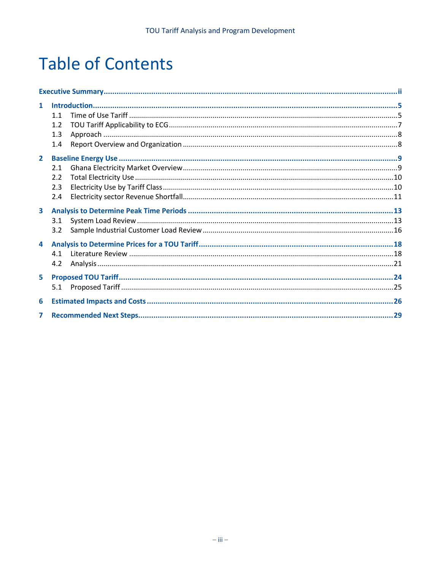# **Table of Contents**

| $\mathbf{1}$   |     |  |
|----------------|-----|--|
|                | 1.1 |  |
|                | 1.2 |  |
|                | 1.3 |  |
|                | 1.4 |  |
| $\overline{2}$ |     |  |
|                | 2.1 |  |
|                | 2.2 |  |
|                | 2.3 |  |
|                | 2.4 |  |
| 3              |     |  |
|                | 3.1 |  |
|                | 3.2 |  |
| 4              |     |  |
|                | 4.1 |  |
|                | 4.2 |  |
| 5              |     |  |
|                | 5.1 |  |
| 6              |     |  |
| 7              |     |  |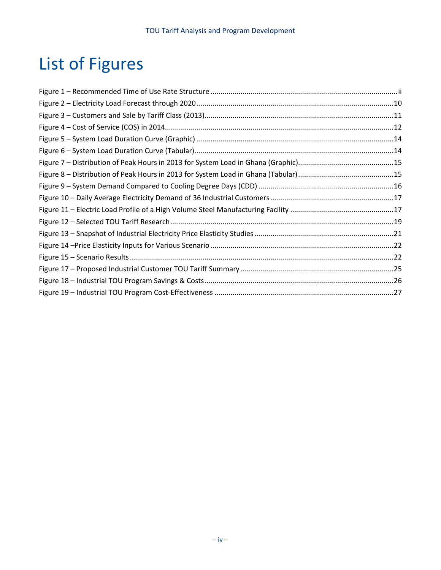# List of Figures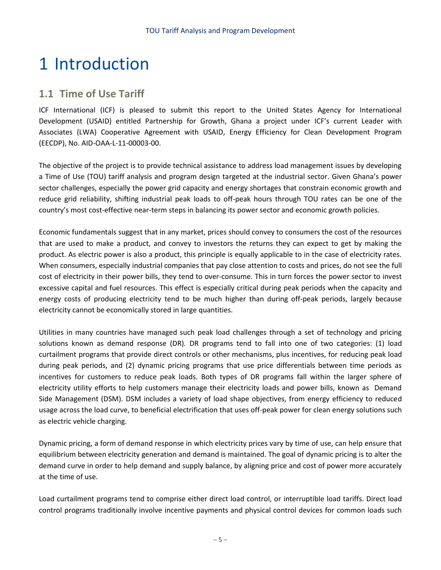# 1 Introduction

### **1.1 Time of Use Tariff**

ICF International (ICF) is pleased to submit this report to the United States Agency for International Development (USAID) entitled Partnership for Growth, Ghana a project under ICF's current Leader with Associates (LWA) Cooperative Agreement with USAID, Energy Efficiency for Clean Development Program (EECDP), No. AID-OAA-L-11-00003-00.

The objective of the project is to provide technical assistance to address load management issues by developing a Time of Use (TOU) tariff analysis and program design targeted at the industrial sector. Given Ghana's power sector challenges, especially the power grid capacity and energy shortages that constrain economic growth and reduce grid reliability, shifting industrial peak loads to off-peak hours through TOU rates can be one of the country's most cost-effective near-term steps in balancing its power sector and economic growth policies.

Economic fundamentals suggest that in any market, prices should convey to consumers the cost of the resources that are used to make a product, and convey to investors the returns they can expect to get by making the product. As electric power is also a product, this principle is equally applicable to in the case of electricity rates. When consumers, especially industrial companies that pay close attention to costs and prices, do not see the full cost of electricity in their power bills, they tend to over-consume. This in turn forces the power sector to invest excessive capital and fuel resources. This effect is especially critical during peak periods when the capacity and energy costs of producing electricity tend to be much higher than during off-peak periods, largely because electricity cannot be economically stored in large quantities.

Utilities in many countries have managed such peak load challenges through a set of technology and pricing solutions known as demand response (DR). DR programs tend to fall into one of two categories: (1) load curtailment programs that provide direct controls or other mechanisms, plus incentives, for reducing peak load during peak periods, and (2) dynamic pricing programs that use price differentials between time periods as incentives for customers to reduce peak loads. Both types of DR programs fall within the larger sphere of electricity utility efforts to help customers manage their electricity loads and power bills, known as Demand Side Management (DSM). DSM includes a variety of load shape objectives, from energy efficiency to reduced usage across the load curve, to beneficial electrification that uses off-peak power for clean energy solutions such as electric vehicle charging.

Dynamic pricing, a form of demand response in which electricity prices vary by time of use, can help ensure that equilibrium between electricity generation and demand is maintained. The goal of dynamic pricing is to alter the demand curve in order to help demand and supply balance, by aligning price and cost of power more accurately at the time of use.

Load curtailment programs tend to comprise either direct load control, or interruptible load tariffs. Direct load control programs traditionally involve incentive payments and physical control devices for common loads such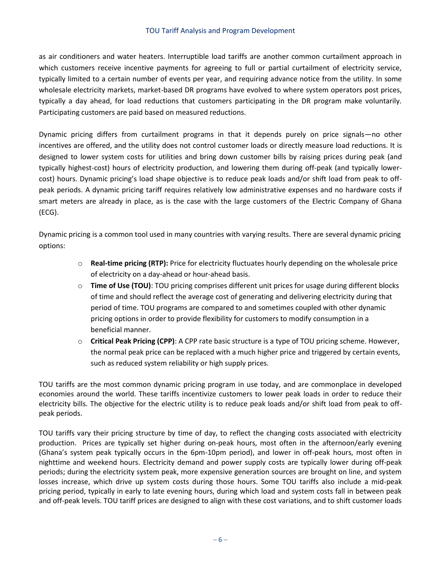as air conditioners and water heaters. Interruptible load tariffs are another common curtailment approach in which customers receive incentive payments for agreeing to full or partial curtailment of electricity service, typically limited to a certain number of events per year, and requiring advance notice from the utility. In some wholesale electricity markets, market-based DR programs have evolved to where system operators post prices, typically a day ahead, for load reductions that customers participating in the DR program make voluntarily. Participating customers are paid based on measured reductions.

Dynamic pricing differs from curtailment programs in that it depends purely on price signals—no other incentives are offered, and the utility does not control customer loads or directly measure load reductions. It is designed to lower system costs for utilities and bring down customer bills by raising prices during peak (and typically highest-cost) hours of electricity production, and lowering them during off-peak (and typically lowercost) hours. Dynamic pricing's load shape objective is to reduce peak loads and/or shift load from peak to offpeak periods. A dynamic pricing tariff requires relatively low administrative expenses and no hardware costs if smart meters are already in place, as is the case with the large customers of the Electric Company of Ghana (ECG).

Dynamic pricing is a common tool used in many countries with varying results. There are several dynamic pricing options:

- o **Real-time pricing (RTP):** Price for electricity fluctuates hourly depending on the wholesale price of electricity on a day-ahead or hour-ahead basis.
- o **Time of Use (TOU)**: TOU pricing comprises different unit prices for usage during different blocks of time and should reflect the average cost of generating and delivering electricity during that period of time. TOU programs are compared to and sometimes coupled with other dynamic pricing options in order to provide flexibility for customers to modify consumption in a beneficial manner.
- o **Critical Peak Pricing (CPP)**: A CPP rate basic structure is a type of TOU pricing scheme. However, the normal peak price can be replaced with a much higher price and triggered by certain events, such as reduced system reliability or high supply prices.

TOU tariffs are the most common dynamic pricing program in use today, and are commonplace in developed economies around the world. These tariffs incentivize customers to lower peak loads in order to reduce their electricity bills. The objective for the electric utility is to reduce peak loads and/or shift load from peak to offpeak periods.

TOU tariffs vary their pricing structure by time of day, to reflect the changing costs associated with electricity production. Prices are typically set higher during on-peak hours, most often in the afternoon/early evening (Ghana's system peak typically occurs in the 6pm-10pm period), and lower in off-peak hours, most often in nighttime and weekend hours. Electricity demand and power supply costs are typically lower during off-peak periods; during the electricity system peak, more expensive generation sources are brought on line, and system losses increase, which drive up system costs during those hours. Some TOU tariffs also include a mid-peak pricing period, typically in early to late evening hours, during which load and system costs fall in between peak and off-peak levels. TOU tariff prices are designed to align with these cost variations, and to shift customer loads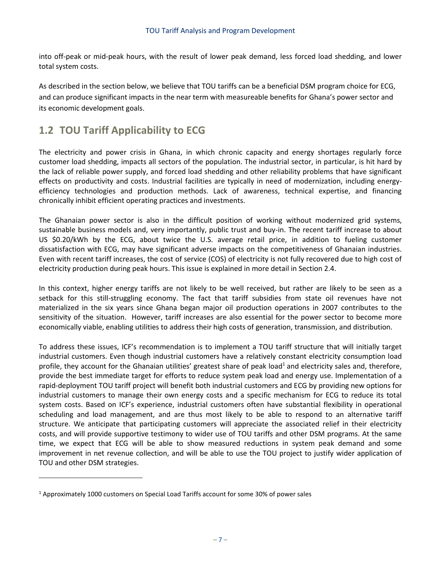into off-peak or mid-peak hours, with the result of lower peak demand, less forced load shedding, and lower total system costs.

As described in the section below, we believe that TOU tariffs can be a beneficial DSM program choice for ECG, and can produce significant impacts in the near term with measureable benefits for Ghana's power sector and its economic development goals.

## **1.2 TOU Tariff Applicability to ECG**

The electricity and power crisis in Ghana, in which chronic capacity and energy shortages regularly force customer load shedding, impacts all sectors of the population. The industrial sector, in particular, is hit hard by the lack of reliable power supply, and forced load shedding and other reliability problems that have significant effects on productivity and costs. Industrial facilities are typically in need of modernization, including energyefficiency technologies and production methods. Lack of awareness, technical expertise, and financing chronically inhibit efficient operating practices and investments.

The Ghanaian power sector is also in the difficult position of working without modernized grid systems, sustainable business models and, very importantly, public trust and buy-in. The recent tariff increase to about US \$0.20/kWh by the ECG, about twice the U.S. average retail price, in addition to fueling customer dissatisfaction with ECG, may have significant adverse impacts on the competitiveness of Ghanaian industries. Even with recent tariff increases, the cost of service (COS) of electricity is not fully recovered due to high cost of electricity production during peak hours. This issue is explained in more detail in Section [2.4.](#page-12-0)

In this context, higher energy tariffs are not likely to be well received, but rather are likely to be seen as a setback for this still-struggling economy. The fact that tariff subsidies from state oil revenues have not materialized in the six years since Ghana began major oil production operations in 2007 contributes to the sensitivity of the situation. However, tariff increases are also essential for the power sector to become more economically viable, enabling utilities to address their high costs of generation, transmission, and distribution.

To address these issues, ICF's recommendation is to implement a TOU tariff structure that will initially target industrial customers. Even though industrial customers have a relatively constant electricity consumption load profile, they account for the Ghanaian utilities' greatest share of peak load<sup>1</sup> and electricity sales and, therefore, provide the best immediate target for efforts to reduce system peak load and energy use. Implementation of a rapid-deployment TOU tariff project will benefit both industrial customers and ECG by providing new options for industrial customers to manage their own energy costs and a specific mechanism for ECG to reduce its total system costs. Based on ICF's experience, industrial customers often have substantial flexibility in operational scheduling and load management, and are thus most likely to be able to respond to an alternative tariff structure. We anticipate that participating customers will appreciate the associated relief in their electricity costs, and will provide supportive testimony to wider use of TOU tariffs and other DSM programs. At the same time, we expect that ECG will be able to show measured reductions in system peak demand and some improvement in net revenue collection, and will be able to use the TOU project to justify wider application of TOU and other DSM strategies.

l

<sup>1</sup> Approximately 1000 customers on Special Load Tariffs account for some 30% of power sales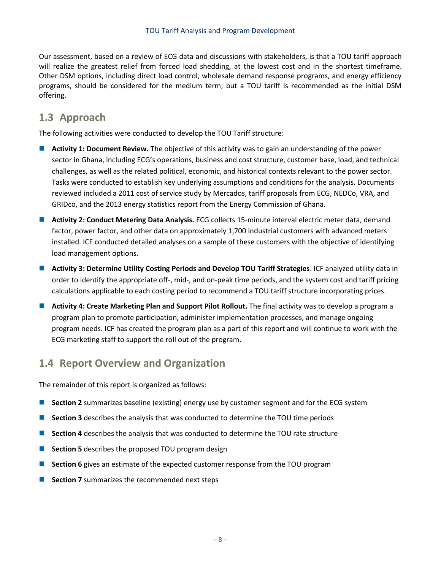Our assessment, based on a review of ECG data and discussions with stakeholders, is that a TOU tariff approach will realize the greatest relief from forced load shedding, at the lowest cost and in the shortest timeframe. Other DSM options, including direct load control, wholesale demand response programs, and energy efficiency programs, should be considered for the medium term, but a TOU tariff is recommended as the initial DSM offering.

### **1.3 Approach**

The following activities were conducted to develop the TOU Tariff structure:

- **Activity 1: Document Review.** The objective of this activity was to gain an understanding of the power sector in Ghana, including ECG's operations, business and cost structure, customer base, load, and technical challenges, as well as the related political, economic, and historical contexts relevant to the power sector. Tasks were conducted to establish key underlying assumptions and conditions for the analysis. Documents reviewed included a 2011 cost of service study by Mercados, tariff proposals from ECG, NEDCo, VRA, and GRIDco, and the 2013 energy statistics report from the Energy Commission of Ghana.
- **Activity 2: Conduct Metering Data Analysis.** ECG collects 15-minute interval electric meter data, demand factor, power factor, and other data on approximately 1,700 industrial customers with advanced meters installed. ICF conducted detailed analyses on a sample of these customers with the objective of identifying load management options.
- **Activity 3: Determine Utility Costing Periods and Develop TOU Tariff Strategies**. ICF analyzed utility data in order to identify the appropriate off-, mid-, and on-peak time periods, and the system cost and tariff pricing calculations applicable to each costing period to recommend a TOU tariff structure incorporating prices.
- **Activity 4: Create Marketing Plan and Support Pilot Rollout.** The final activity was to develop a program a program plan to promote participation, administer implementation processes, and manage ongoing program needs. ICF has created the program plan as a part of this report and will continue to work with the ECG marketing staff to support the roll out of the program.

## **1.4 Report Overview and Organization**

The remainder of this report is organized as follows:

- **Section [2](#page-10-0)** summarizes baseline (existing) energy use by customer segment and for the ECG system
- **Section [3](#page-14-0)** describes the analysis that was conducted to determine the TOU time periods
- **Section [4](#page-19-0)** describes the analysis that was conducted to determine the TOU rate structure
- **Section [5](#page-29-0)** describes the proposed TOU program design
- **Section [6](#page-31-0)** gives an estimate of the expected customer response from the TOU program
- **Section [7](#page-35-0)** summarizes the recommended next steps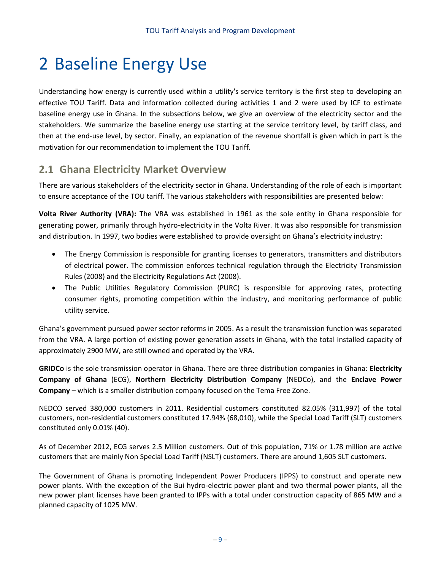# <span id="page-10-0"></span>2 Baseline Energy Use

Understanding how energy is currently used within a utility's service territory is the first step to developing an effective TOU Tariff. Data and information collected during activities 1 and 2 were used by ICF to estimate baseline energy use in Ghana. In the subsections below, we give an overview of the electricity sector and the stakeholders. We summarize the baseline energy use starting at the service territory level, by tariff class, and then at the end-use level, by sector. Finally, an explanation of the revenue shortfall is given which in part is the motivation for our recommendation to implement the TOU Tariff.

### **2.1 Ghana Electricity Market Overview**

There are various stakeholders of the electricity sector in Ghana. Understanding of the role of each is important to ensure acceptance of the TOU tariff. The various stakeholders with responsibilities are presented below:

**Volta River Authority (VRA):** The VRA was established in 1961 as the sole entity in Ghana responsible for generating power, primarily through hydro-electricity in the Volta River. It was also responsible for transmission and distribution. In 1997, two bodies were established to provide oversight on Ghana's electricity industry:

- The Energy Commission is responsible for granting licenses to generators, transmitters and distributors of electrical power. The commission enforces technical regulation through the Electricity Transmission Rules (2008) and the Electricity Regulations Act (2008).
- The Public Utilities Regulatory Commission (PURC) is responsible for approving rates, protecting consumer rights, promoting competition within the industry, and monitoring performance of public utility service.

Ghana's government pursued power sector reforms in 2005. As a result the transmission function was separated from the VRA. A large portion of existing power generation assets in Ghana, with the total installed capacity of approximately 2900 MW, are still owned and operated by the VRA.

**GRIDCo** is the sole transmission operator in Ghana. There are three distribution companies in Ghana: **Electricity Company of Ghana** (ECG), **Northern Electricity Distribution Company** (NEDCo), and the **Enclave Power Company** – which is a smaller distribution company focused on the Tema Free Zone.

NEDCO served 380,000 customers in 2011. Residential customers constituted 82.05% (311,997) of the total customers, non-residential customers constituted 17.94% (68,010), while the Special Load Tariff (SLT) customers constituted only 0.01% (40).

As of December 2012, ECG serves 2.5 Million customers. Out of this population, 71% or 1.78 million are active customers that are mainly Non Special Load Tariff (NSLT) customers. There are around 1,605 SLT customers.

The Government of Ghana is promoting Independent Power Producers (IPPS) to construct and operate new power plants. With the exception of the Bui hydro-electric power plant and two thermal power plants, all the new power plant licenses have been granted to IPPs with a total under construction capacity of 865 MW and a planned capacity of 1025 MW.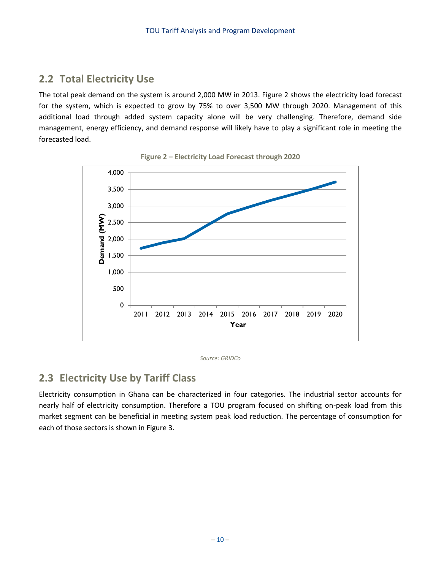## **2.2 Total Electricity Use**

The total peak demand on the system is around 2,000 MW in 2013. [Figure 2](#page-11-0) shows the electricity load forecast for the system, which is expected to grow by 75% to over 3,500 MW through 2020. Management of this additional load through added system capacity alone will be very challenging. Therefore, demand side management, energy efficiency, and demand response will likely have to play a significant role in meeting the forecasted load.

<span id="page-11-0"></span>

**Figure 2 – Electricity Load Forecast through 2020**

*Source: GRIDCo*

### **2.3 Electricity Use by Tariff Class**

Electricity consumption in Ghana can be characterized in four categories. The industrial sector accounts for nearly half of electricity consumption. Therefore a TOU program focused on shifting on-peak load from this market segment can be beneficial in meeting system peak load reduction. The percentage of consumption for each of those sectors is shown in [Figure 3.](#page-12-1)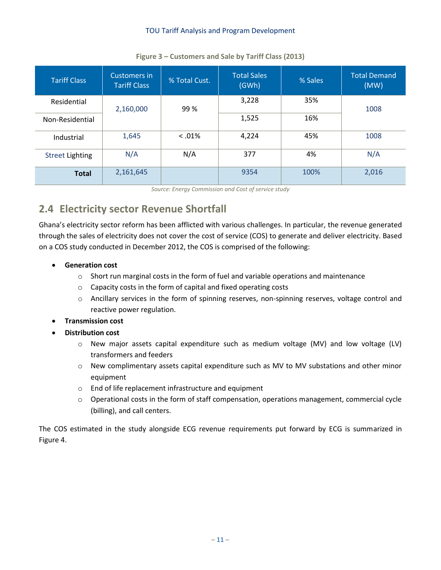<span id="page-12-1"></span>

| <b>Tariff Class</b>    | Customers in<br><b>Tariff Class</b> | % Total Cust. | <b>Total Sales</b><br>(GWh) | % Sales | <b>Total Demand</b><br>(MW) |  |
|------------------------|-------------------------------------|---------------|-----------------------------|---------|-----------------------------|--|
| Residential            | 2,160,000                           | 99%           | 3,228                       | 35%     | 1008                        |  |
| Non-Residential        |                                     |               | 1,525                       | 16%     |                             |  |
| Industrial             | 1,645                               | $0.01\%$      | 4,224                       | 45%     | 1008                        |  |
| <b>Street Lighting</b> | N/A                                 | N/A           | 377                         | 4%      | N/A                         |  |
| <b>Total</b>           | 2,161,645                           |               | 9354                        | 100%    | 2,016                       |  |

#### **Figure 3 – Customers and Sale by Tariff Class (2013)**

*Source: Energy Commission and Cost of service study*

## <span id="page-12-0"></span>**2.4 Electricity sector Revenue Shortfall**

Ghana's electricity sector reform has been afflicted with various challenges. In particular, the revenue generated through the sales of electricity does not cover the cost of service (COS) to generate and deliver electricity. Based on a COS study conducted in December 2012, the COS is comprised of the following:

- **Generation cost**
	- $\circ$  Short run marginal costs in the form of fuel and variable operations and maintenance
	- o Capacity costs in the form of capital and fixed operating costs
	- o Ancillary services in the form of spinning reserves, non-spinning reserves, voltage control and reactive power regulation.
- **Transmission cost**
- **Distribution cost**
	- o New major assets capital expenditure such as medium voltage (MV) and low voltage (LV) transformers and feeders
	- $\circ$  New complimentary assets capital expenditure such as MV to MV substations and other minor equipment
	- o End of life replacement infrastructure and equipment
	- o Operational costs in the form of staff compensation, operations management, commercial cycle (billing), and call centers.

The COS estimated in the study alongside ECG revenue requirements put forward by ECG is summarized in [Figure 4.](#page-13-0)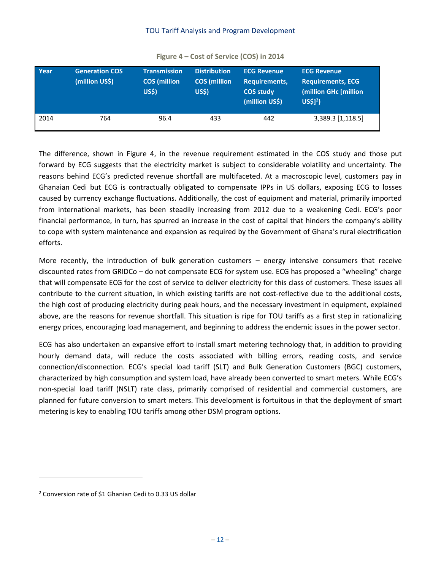<span id="page-13-0"></span>

| Year | <b>Generation COS</b><br>(million US\$) | <b>Transmission</b><br><b>COS</b> (million<br><b>US\$)</b> | <b>Distribution</b><br><b>COS</b> (million<br><b>US\$)</b> | <b>ECG Revenue</b><br>Requirements,<br><b>COS study</b><br>(million US\$) | <b>ECG Revenue</b><br><b>Requirements, ECG</b><br>(million GHc [million<br>$US$12$ ) |
|------|-----------------------------------------|------------------------------------------------------------|------------------------------------------------------------|---------------------------------------------------------------------------|--------------------------------------------------------------------------------------|
| 2014 | 764                                     | 96.4                                                       | 433                                                        | 442                                                                       | 3,389.3 [1,118.5]                                                                    |

**Figure 4 – Cost of Service (COS) in 2014**

The difference, shown in [Figure 4,](#page-13-0) in the revenue requirement estimated in the COS study and those put forward by ECG suggests that the electricity market is subject to considerable volatility and uncertainty. The reasons behind ECG's predicted revenue shortfall are multifaceted. At a macroscopic level, customers pay in Ghanaian Cedi but ECG is contractually obligated to compensate IPPs in US dollars, exposing ECG to losses caused by currency exchange fluctuations. Additionally, the cost of equipment and material, primarily imported from international markets, has been steadily increasing from 2012 due to a weakening Cedi. ECG's poor financial performance, in turn, has spurred an increase in the cost of capital that hinders the company's ability to cope with system maintenance and expansion as required by the Government of Ghana's rural electrification efforts.

More recently, the introduction of bulk generation customers – energy intensive consumers that receive discounted rates from GRIDCo – do not compensate ECG for system use. ECG has proposed a "wheeling" charge that will compensate ECG for the cost of service to deliver electricity for this class of customers. These issues all contribute to the current situation, in which existing tariffs are not cost-reflective due to the additional costs, the high cost of producing electricity during peak hours, and the necessary investment in equipment, explained above, are the reasons for revenue shortfall. This situation is ripe for TOU tariffs as a first step in rationalizing energy prices, encouraging load management, and beginning to address the endemic issues in the power sector.

ECG has also undertaken an expansive effort to install smart metering technology that, in addition to providing hourly demand data, will reduce the costs associated with billing errors, reading costs, and service connection/disconnection. ECG's special load tariff (SLT) and Bulk Generation Customers (BGC) customers, characterized by high consumption and system load, have already been converted to smart meters. While ECG's non-special load tariff (NSLT) rate class, primarily comprised of residential and commercial customers, are planned for future conversion to smart meters. This development is fortuitous in that the deployment of smart metering is key to enabling TOU tariffs among other DSM program options.

l

<sup>2</sup> Conversion rate of \$1 Ghanian Cedi to 0.33 US dollar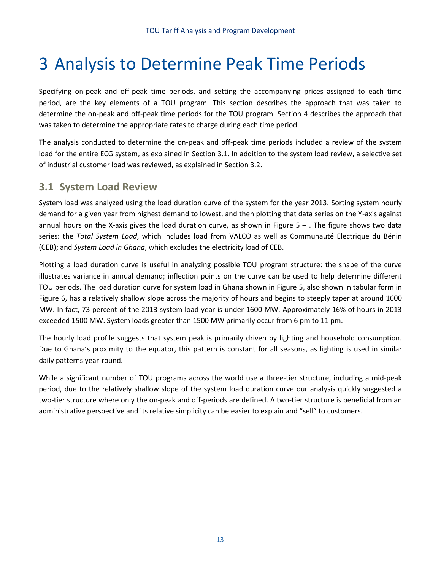# <span id="page-14-0"></span>3 Analysis to Determine Peak Time Periods

Specifying on-peak and off-peak time periods, and setting the accompanying prices assigned to each time period, are the key elements of a TOU program. This section describes the approach that was taken to determine the on-peak and off-peak time periods for the TOU program. Section [4](#page-19-0) describes the approach that was taken to determine the appropriate rates to charge during each time period.

The analysis conducted to determine the on-peak and off-peak time periods included a review of the system load for the entire ECG system, as explained in Section [3.1.](#page-14-1) In addition to the system load review, a selective set of industrial customer load was reviewed, as explained in Sectio[n 3.2.](#page-17-0)

### <span id="page-14-1"></span>**3.1 System Load Review**

System load was analyzed using the load duration curve of the system for the year 2013. Sorting system hourly demand for a given year from highest demand to lowest, and then plotting that data series on the Y-axis against annual hours on the X-axis gives the load duration curve, as shown in [Figure 5](#page-15-0) – . The figure shows two data series: the *Total System Load*, which includes load from VALCO as well as Communauté Electrique du Bénin (CEB); and *System Load in Ghana*, which excludes the electricity load of CEB.

Plotting a load duration curve is useful in analyzing possible TOU program structure: the shape of the curve illustrates variance in annual demand; inflection points on the curve can be used to help determine different TOU periods. The load duration curve for system load in Ghana shown in [Figure 5,](#page-15-0) also shown in tabular form in [Figure 6,](#page-15-1) has a relatively shallow slope across the majority of hours and begins to steeply taper at around 1600 MW. In fact, 73 percent of the 2013 system load year is under 1600 MW. Approximately 16% of hours in 2013 exceeded 1500 MW. System loads greater than 1500 MW primarily occur from 6 pm to 11 pm.

The hourly load profile suggests that system peak is primarily driven by lighting and household consumption. Due to Ghana's proximity to the equator, this pattern is constant for all seasons, as lighting is used in similar daily patterns year-round.

While a significant number of TOU programs across the world use a three-tier structure, including a mid-peak period, due to the relatively shallow slope of the system load duration curve our analysis quickly suggested a two-tier structure where only the on-peak and off-periods are defined. A two-tier structure is beneficial from an administrative perspective and its relative simplicity can be easier to explain and "sell" to customers.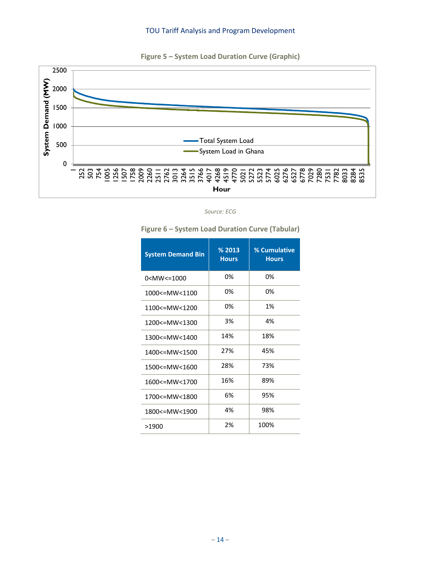

<span id="page-15-0"></span>

*Source: ECG*

## **System Demand Bin % 2013 Hours % Cumulative Hours** 0<MW<=1000 0% 0% 0% 1000<=MW<1100 0% 0% 0% 1100<=MW<1200 0% 1% 1200<=MW<1300 3% 4% 1300<=MW<1400 14% 18% 1400<=MW<1500 27% 45% 1500<=MW<1600 28% 73% 1600<=MW<1700 16% 89% 1700<=MW<1800 6% 95% 1800<=MW<1900 4% 98% >1900 2% 100%

#### <span id="page-15-1"></span>**Figure 6 – System Load Duration Curve (Tabular)**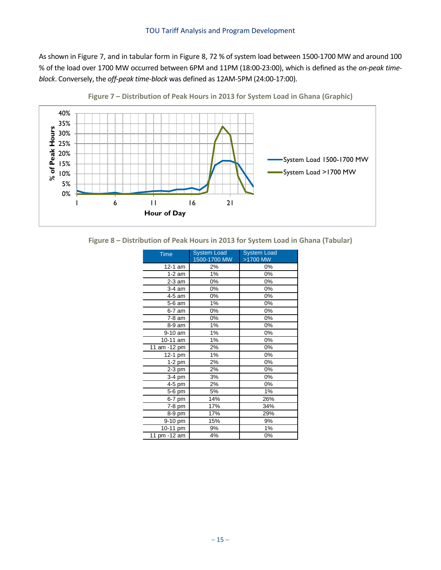As shown in [Figure 7,](#page-16-0) and in tabular form i[n Figure 8,](#page-16-1) 72 % of system load between 1500-1700 MW and around 100 % of the load over 1700 MW occurred between 6PM and 11PM (18:00-23:00), which is defined as the *on-peak timeblock*. Conversely, the *off-peak time-block* was defined as 12AM-5PM (24:00-17:00).

<span id="page-16-0"></span>

**Figure 7 – Distribution of Peak Hours in 2013 for System Load in Ghana (Graphic)**

<span id="page-16-1"></span>**Figure 8 – Distribution of Peak Hours in 2013 for System Load in Ghana (Tabular)**

| <b>Time</b>  | <b>System Load</b> | <b>System Load</b> |  |
|--------------|--------------------|--------------------|--|
|              | 1500-1700 MW       | >1700 MW           |  |
| 12-1 am      | 2%                 | 0%                 |  |
| $1-2$ am     | 1%                 | 0%                 |  |
| $2-3$ am     | 0%                 | 0%                 |  |
| 3-4 am       | 0%                 | 0%                 |  |
| 4-5 am       | 0%                 | 0%                 |  |
| 5-6 am       | 1%                 | 0%                 |  |
| 6-7 am       | 0%                 | 0%                 |  |
| 7-8 am       | 0%                 | 0%                 |  |
| 8-9 am       | 1%                 | 0%                 |  |
| 9-10 am      | 1%                 | 0%                 |  |
| 10-11 am     | 1%                 | 0%                 |  |
| 11 am -12 pm | 2%                 | 0%                 |  |
| 12-1 pm      | 1%                 | 0%                 |  |
| $1-2$ pm     | 2%                 | 0%                 |  |
| $2-3$ pm     | 2%                 | 0%                 |  |
| 3-4 pm       | 3%                 | 0%                 |  |
| 4-5 pm       | 2%                 | 0%                 |  |
| 5-6 pm       | 5%                 | 1%                 |  |
| 6-7 pm       | 14%                | 26%                |  |
| 7-8 pm       | 17%                | 34%                |  |
| 8-9 pm       | 17%                | 29%                |  |
| 9-10 pm      | 15%                | 9%                 |  |
| 10-11 pm     | 9%                 | 1%                 |  |
| 11 pm -12 am | 4%                 | 0%                 |  |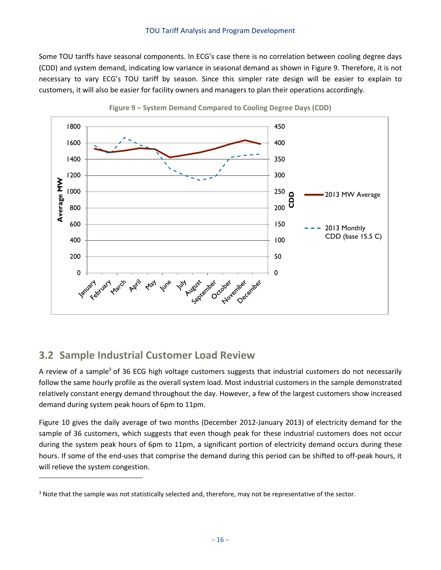Some TOU tariffs have seasonal components. In ECG's case there is no correlation between cooling degree days (CDD) and system demand, indicating low variance in seasonal demand as shown in [Figure 9.](#page-17-1) Therefore, it is not necessary to vary ECG's TOU tariff by season. Since this simpler rate design will be easier to explain to customers, it will also be easier for facility owners and managers to plan their operations accordingly.

<span id="page-17-1"></span>



### <span id="page-17-0"></span>**3.2 Sample Industrial Customer Load Review**

l

A review of a sample<sup>3</sup> of 36 ECG high voltage customers suggests that industrial customers do not necessarily follow the same hourly profile as the overall system load. Most industrial customers in the sample demonstrated relatively constant energy demand throughout the day. However, a few of the largest customers show increased demand during system peak hours of 6pm to 11pm.

[Figure 10](#page-18-0) gives the daily average of two months (December 2012-January 2013) of electricity demand for the sample of 36 customers, which suggests that even though peak for these industrial customers does not occur during the system peak hours of 6pm to 11pm, a significant portion of electricity demand occurs during these hours. If some of the end-uses that comprise the demand during this period can be shifted to off-peak hours, it will relieve the system congestion.

<sup>&</sup>lt;sup>3</sup> Note that the sample was not statistically selected and, therefore, may not be representative of the sector.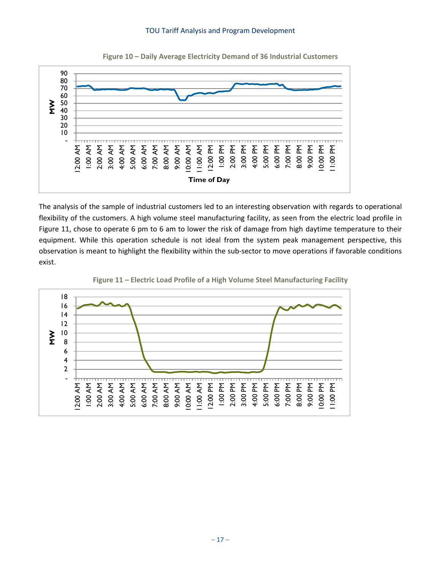<span id="page-18-0"></span>

**Figure 10 – Daily Average Electricity Demand of 36 Industrial Customers**

The analysis of the sample of industrial customers led to an interesting observation with regards to operational flexibility of the customers. A high volume steel manufacturing facility, as seen from the electric load profile in [Figure 11,](#page-18-1) chose to operate 6 pm to 6 am to lower the risk of damage from high daytime temperature to their equipment. While this operation schedule is not ideal from the system peak management perspective, this observation is meant to highlight the flexibility within the sub-sector to move operations if favorable conditions exist.

<span id="page-18-1"></span>

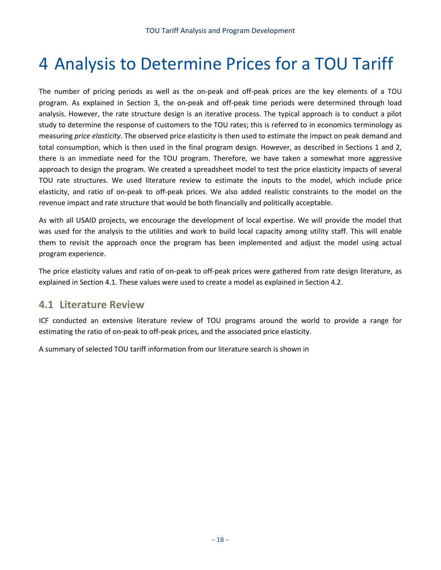# <span id="page-19-0"></span>4 Analysis to Determine Prices for a TOU Tariff

The number of pricing periods as well as the on-peak and off-peak prices are the key elements of a TOU program. As explained in Section 3, the on-peak and off-peak time periods were determined through load analysis. However, the rate structure design is an iterative process. The typical approach is to conduct a pilot study to determine the response of customers to the TOU rates; this is referred to in economics terminology as measuring *price elasticity*. The observed price elasticity is then used to estimate the impact on peak demand and total consumption, which is then used in the final program design. However, as described in Sections 1 and 2, there is an immediate need for the TOU program. Therefore, we have taken a somewhat more aggressive approach to design the program. We created a spreadsheet model to test the price elasticity impacts of several TOU rate structures. We used literature review to estimate the inputs to the model, which include price elasticity, and ratio of on-peak to off-peak prices. We also added realistic constraints to the model on the revenue impact and rate structure that would be both financially and politically acceptable.

As with all USAID projects, we encourage the development of local expertise. We will provide the model that was used for the analysis to the utilities and work to build local capacity among utility staff. This will enable them to revisit the approach once the program has been implemented and adjust the model using actual program experience.

The price elasticity values and ratio of on-peak to off-peak prices were gathered from rate design literature, as explained in Section 4.1. These values were used to create a model as explained in Section 4.2.

### **4.1 Literature Review**

ICF conducted an extensive literature review of TOU programs around the world to provide a range for estimating the ratio of on-peak to off-peak prices, and the associated price elasticity.

A summary of selected TOU tariff information from our literature search is shown i[n](#page-21-0)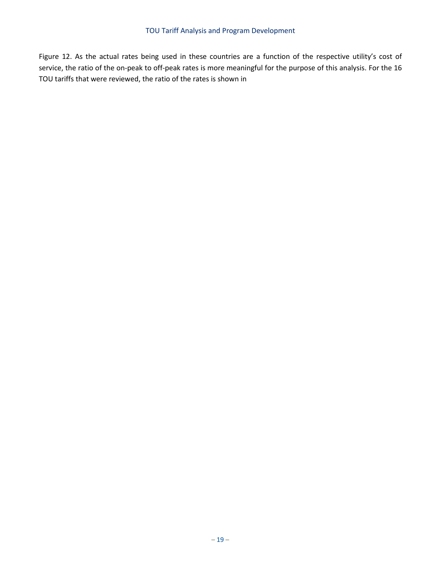[Figure](#page-21-0) 12. As the actual rates being used in these countries are a function of the respective utility's cost of service, the ratio of the on-peak to off-peak rates is more meaningful for the purpose of this analysis. For the 16 TOU tariffs that were reviewed, the ratio of the rates is shown in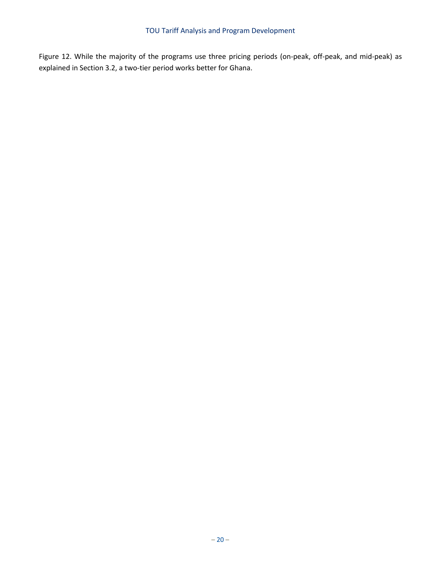<span id="page-21-0"></span>[Figure](#page-21-0) 12. While the majority of the programs use three pricing periods (on-peak, off-peak, and mid-peak) as explained in Section 3.2, a two-tier period works better for Ghana.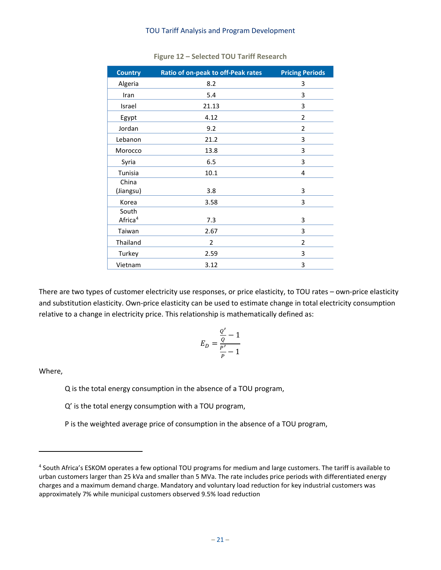| <b>Country</b>      | Ratio of on-peak to off-Peak rates | <b>Pricing Periods</b> |
|---------------------|------------------------------------|------------------------|
| Algeria             | 8.2                                | 3                      |
| Iran                | 5.4                                | 3                      |
| Israel              | 21.13                              | 3                      |
| Egypt               | 4.12                               | $\overline{2}$         |
| Jordan              | 9.2                                | $\overline{2}$         |
| Lebanon             | 21.2                               | 3                      |
| Morocco             | 13.8                               | 3                      |
| Syria               | 6.5                                | 3                      |
| Tunisia             | 10.1                               | 4                      |
| China               |                                    |                        |
| (Jiangsu)           | 3.8                                | 3                      |
| Korea               | 3.58                               | 3                      |
| South               |                                    |                        |
| Africa <sup>4</sup> | 7.3                                | 3                      |
| Taiwan              | 2.67                               | 3                      |
| Thailand            | 2                                  | $\overline{2}$         |
| Turkey              | 2.59                               | 3                      |
| Vietnam             | 3.12                               | 3                      |

#### **Figure 12 – Selected TOU Tariff Research**

There are two types of customer electricity use responses, or price elasticity, to TOU rates – own-price elasticity and substitution elasticity. Own-price elasticity can be used to estimate change in total electricity consumption relative to a change in electricity price. This relationship is mathematically defined as:

$$
E_D = \frac{\frac{Q'}{Q} - 1}{\frac{P'}{P} - 1}
$$

Where,

 $\overline{\phantom{a}}$ 

Q is the total energy consumption in the absence of a TOU program,

Q' is the total energy consumption with a TOU program,

P is the weighted average price of consumption in the absence of a TOU program,

<sup>4</sup> South Africa's ESKOM operates a few optional TOU programs for medium and large customers. The tariff is available to urban customers larger than 25 kVa and smaller than 5 MVa. The rate includes price periods with differentiated energy charges and a maximum demand charge. Mandatory and voluntary load reduction for key industrial customers was approximately 7% while municipal customers observed 9.5% load reduction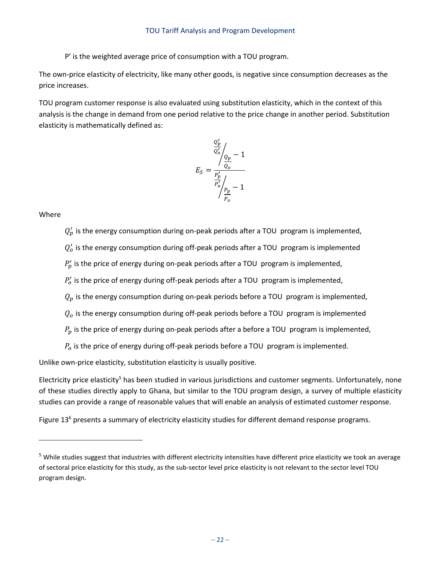P' is the weighted average price of consumption with a TOU program.

The own-price elasticity of electricity, like many other goods, is negative since consumption decreases as the price increases.

TOU program customer response is also evaluated using substitution elasticity, which in the context of this analysis is the change in demand from one period relative to the price change in another period. Substitution elasticity is mathematically defined as:

$$
E_S = \frac{\frac{Q_p'}{Q_o'}\Big|_{Q_p}}{\frac{P_p'}{P_o'}\Big|_{\frac{P_p}{P_o}} - 1}
$$

Where

 $\overline{\phantom{a}}$ 

 $Q'_p$  is the energy consumption during on-peak periods after a TOU program is implemented,

 $Q'_{o}$  is the energy consumption during off-peak periods after a TOU program is implemented

 $P'_p$  is the price of energy during on-peak periods after a TOU program is implemented,

 $P'_{o}$  is the price of energy during off-peak periods after a TOU program is implemented,

 $Q_p$  is the energy consumption during on-peak periods before a TOU program is implemented,

 $Q<sub>o</sub>$  is the energy consumption during off-peak periods before a TOU program is implemented

 $P_p$  is the price of energy during on-peak periods after a before a TOU program is implemented,

 $P<sub>o</sub>$  is the price of energy during off-peak periods before a TOU program is implemented.

Unlike own-price elasticity, substitution elasticity is usually positive.

Electricity price elasticity<sup>5</sup> has been studied in various jurisdictions and customer segments. Unfortunately, none of these studies directly apply to Ghana, but similar to the TOU program design, a survey of multiple elasticity studies can provide a range of reasonable values that will enable an analysis of estimated customer response.

[Figure 13](#page-24-0)<sup>6</sup> presents a summary of electricity elasticity studies for different demand response programs.

 $5$  While studies suggest that industries with different electricity intensities have different price elasticity we took an average of sectoral price elasticity for this study, as the sub-sector level price elasticity is not relevant to the sector level TOU program design.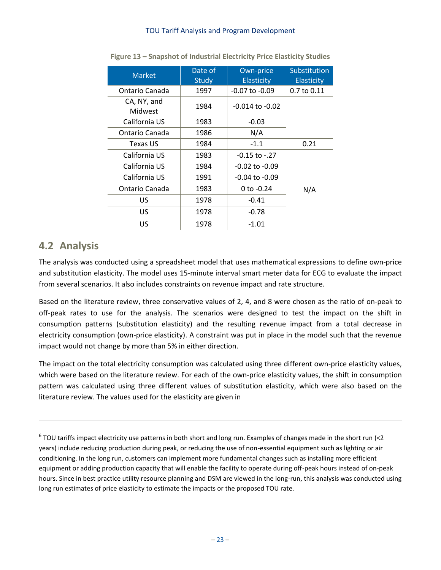<span id="page-24-0"></span>

| <b>Market</b>          | Date of<br><b>Study</b> | Own-price<br><b>Elasticity</b> | Substitution<br><b>Elasticity</b> |
|------------------------|-------------------------|--------------------------------|-----------------------------------|
| Ontario Canada         | 1997                    | -0.07 to -0.09                 | 0.7 to 0.11                       |
| CA, NY, and<br>Midwest | 1984                    | $-0.014$ to $-0.02$            |                                   |
| California US          | 1983                    | $-0.03$                        |                                   |
| Ontario Canada         | 1986                    | N/A                            |                                   |
| Texas US               | 1984                    | $-1.1$                         | 0.21                              |
| California US          | 1983                    | -0.15 to -.27                  |                                   |
| California US          | 1984                    | $-0.02$ to $-0.09$             |                                   |
| California US          | 1991                    | $-0.04$ to $-0.09$             |                                   |
| Ontario Canada         | 1983                    | 0 to $-0.24$                   | N/A                               |
| US                     | 1978                    | $-0.41$                        |                                   |
| US                     | 1978                    | $-0.78$                        |                                   |
| US                     | 1978                    | $-1.01$                        |                                   |

**Figure 13 – Snapshot of Industrial Electricity Price Elasticity Studies**

### **4.2 Analysis**

 $\overline{\phantom{a}}$ 

The analysis was conducted using a spreadsheet model that uses mathematical expressions to define own-price and substitution elasticity. The model uses 15-minute interval smart meter data for ECG to evaluate the impact from several scenarios. It also includes constraints on revenue impact and rate structure.

Based on the literature review, three conservative values of 2, 4, and 8 were chosen as the ratio of on-peak to off-peak rates to use for the analysis. The scenarios were designed to test the impact on the shift in consumption patterns (substitution elasticity) and the resulting revenue impact from a total decrease in electricity consumption (own-price elasticity). A constraint was put in place in the model such that the revenue impact would not change by more than 5% in either direction.

The impact on the total electricity consumption was calculated using three different own-price elasticity values, which were based on the literature review. For each of the own-price elasticity values, the shift in consumption pattern was calculated using three different values of substitution elasticity, which were also based on the literature review. The values used for the elasticity are given in

 $^6$  TOU tariffs impact electricity use patterns in both short and long run. Examples of changes made in the short run (<2 years) include reducing production during peak, or reducing the use of non-essential equipment such as lighting or air conditioning. In the long run, customers can implement more fundamental changes such as installing more efficient equipment or adding production capacity that will enable the facility to operate during off-peak hours instead of on-peak hours. Since in best practice utility resource planning and DSM are viewed in the long-run, this analysis was conducted using long run estimates of price elasticity to estimate the impacts or the proposed TOU rate.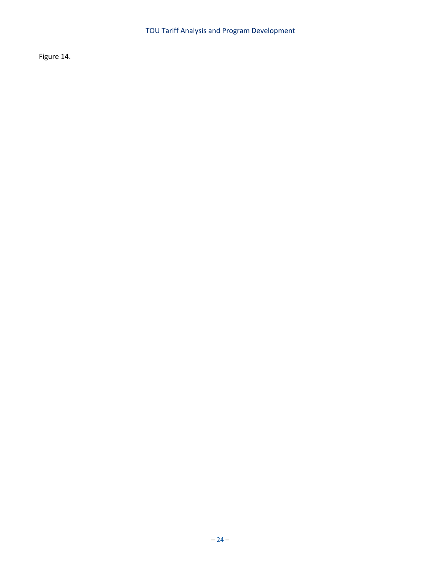<span id="page-25-0"></span>[Figure 14.](#page-25-0)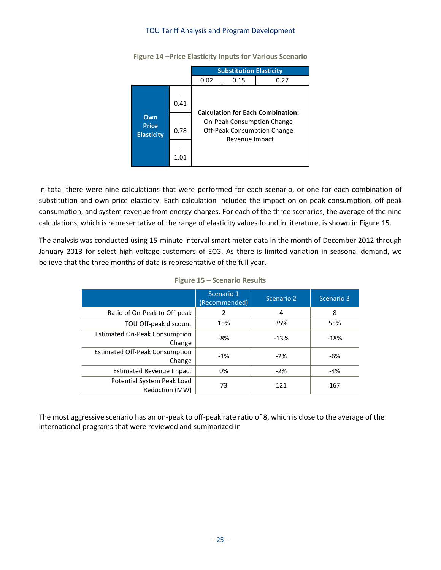

**Figure 14 –Price Elasticity Inputs for Various Scenario**

In total there were nine calculations that were performed for each scenario, or one for each combination of substitution and own price elasticity. Each calculation included the impact on on-peak consumption, off-peak consumption, and system revenue from energy charges. For each of the three scenarios, the average of the nine calculations, which is representative of the range of elasticity values found in literature, is shown i[n Figure 15.](#page-26-0)

<span id="page-26-0"></span>The analysis was conducted using 15-minute interval smart meter data in the month of December 2012 through January 2013 for select high voltage customers of ECG. As there is limited variation in seasonal demand, we believe that the three months of data is representative of the full year.

|                                                 | Scenario 1<br>(Recommended) | Scenario 2 | Scenario 3 |
|-------------------------------------------------|-----------------------------|------------|------------|
| Ratio of On-Peak to Off-peak                    | 2                           | 4          | 8          |
| TOU Off-peak discount                           | 15%                         | 35%        | 55%        |
| <b>Estimated On-Peak Consumption</b><br>Change  | $-8%$                       | $-13%$     | $-18%$     |
| <b>Estimated Off-Peak Consumption</b><br>Change | $-1%$                       | $-2%$      | $-6%$      |
| Estimated Revenue Impact                        | 0%                          | $-2%$      | -4%        |
| Potential System Peak Load<br>Reduction (MW)    | 73                          | 121        | 167        |

|  |  | Figure 15 - Scenario Results |  |
|--|--|------------------------------|--|
|--|--|------------------------------|--|

The most aggressive scenario has an on-peak to off-peak rate ratio of 8, which is close to the average of the international programs that were reviewed and summarized in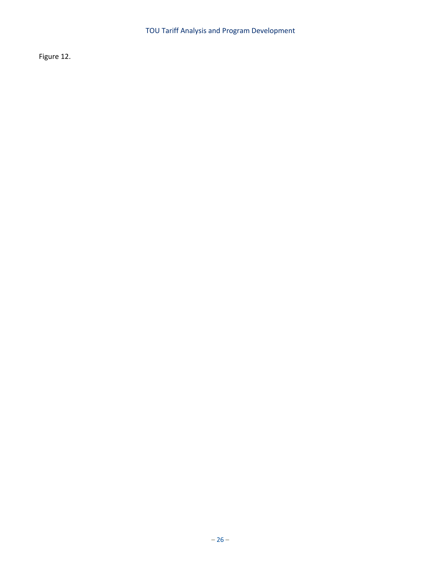[Figure 12.](#page-21-0)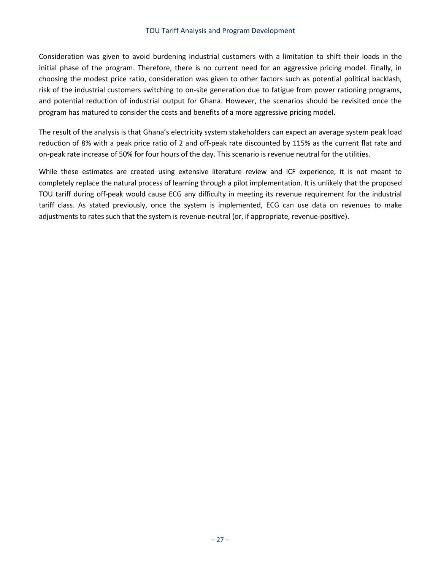Consideration was given to avoid burdening industrial customers with a limitation to shift their loads in the initial phase of the program. Therefore, there is no current need for an aggressive pricing model. Finally, in choosing the modest price ratio, consideration was given to other factors such as potential political backlash, risk of the industrial customers switching to on-site generation due to fatigue from power rationing programs, and potential reduction of industrial output for Ghana. However, the scenarios should be revisited once the program has matured to consider the costs and benefits of a more aggressive pricing model.

The result of the analysis is that Ghana's electricity system stakeholders can expect an average system peak load reduction of 8% with a peak price ratio of 2 and off-peak rate discounted by 115% as the current flat rate and on-peak rate increase of 50% for four hours of the day. This scenario is revenue neutral for the utilities.

While these estimates are created using extensive literature review and ICF experience, it is not meant to completely replace the natural process of learning through a pilot implementation. It is unlikely that the proposed TOU tariff during off-peak would cause ECG any difficulty in meeting its revenue requirement for the industrial tariff class. As stated previously, once the system is implemented, ECG can use data on revenues to make adjustments to rates such that the system is revenue-neutral (or, if appropriate, revenue-positive).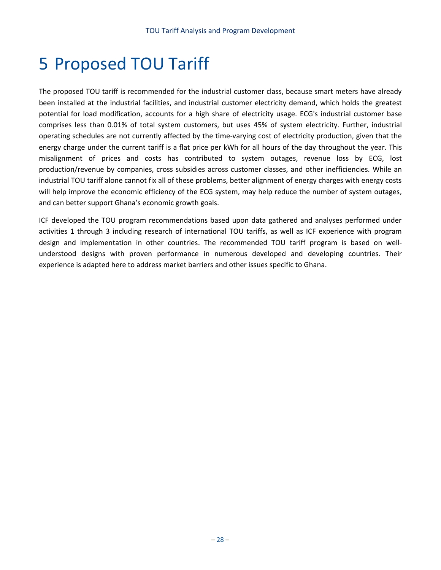# <span id="page-29-0"></span>5 Proposed TOU Tariff

The proposed TOU tariff is recommended for the industrial customer class, because smart meters have already been installed at the industrial facilities, and industrial customer electricity demand, which holds the greatest potential for load modification, accounts for a high share of electricity usage. ECG's industrial customer base comprises less than 0.01% of total system customers, but uses 45% of system electricity. Further, industrial operating schedules are not currently affected by the time-varying cost of electricity production, given that the energy charge under the current tariff is a flat price per kWh for all hours of the day throughout the year. This misalignment of prices and costs has contributed to system outages, revenue loss by ECG, lost production/revenue by companies, cross subsidies across customer classes, and other inefficiencies. While an industrial TOU tariff alone cannot fix all of these problems, better alignment of energy charges with energy costs will help improve the economic efficiency of the ECG system, may help reduce the number of system outages, and can better support Ghana's economic growth goals.

ICF developed the TOU program recommendations based upon data gathered and analyses performed under activities 1 through 3 including research of international TOU tariffs, as well as ICF experience with program design and implementation in other countries. The recommended TOU tariff program is based on wellunderstood designs with proven performance in numerous developed and developing countries. Their experience is adapted here to address market barriers and other issues specific to Ghana.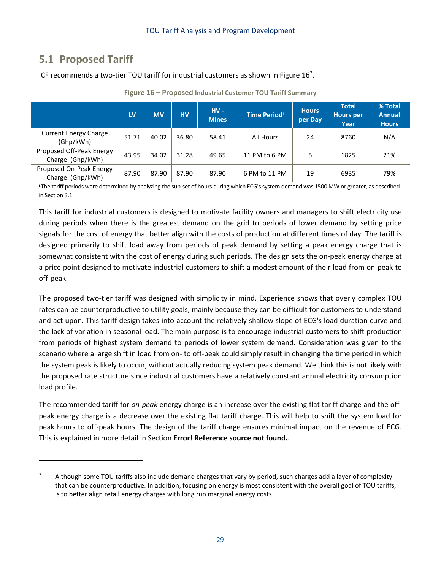## **5.1 Proposed Tariff**

 $\overline{\phantom{a}}$ 

ICF recommends a two-tier TOU tariff for industrial customers as shown in Figure  $16<sup>7</sup>$ .

<span id="page-30-0"></span>

|                                              | LV    | <b>MV</b> | <b>HV</b> | $HV -$<br><b>Mines</b> | Time Period <sup>i</sup> | <b>Hours</b><br>per Day | <b>Total</b><br><b>Hours per</b><br>Year | % Total<br><b>Annual</b><br><b>Hours</b> |
|----------------------------------------------|-------|-----------|-----------|------------------------|--------------------------|-------------------------|------------------------------------------|------------------------------------------|
| <b>Current Energy Charge</b><br>(Ghp/kWh)    | 51.71 | 40.02     | 36.80     | 58.41                  | All Hours                | 24                      | 8760                                     | N/A                                      |
| Proposed Off-Peak Energy<br>Charge (Ghp/kWh) | 43.95 | 34.02     | 31.28     | 49.65                  | 11 PM to 6 PM            |                         | 1825                                     | 21%                                      |
| Proposed On-Peak Energy<br>Charge (Ghp/kWh)  | 87.90 | 87.90     | 87.90     | 87.90                  | 6 PM to 11 PM            | 19                      | 6935                                     | 79%                                      |

**Figure 16 – Proposed Industrial Customer TOU Tariff Summary**

**<sup>i</sup>**The tariff periods were determined by analyzing the sub-set of hours during which ECG's system demand was 1500 MW or greater, as described in Section 3.1.

This tariff for industrial customers is designed to motivate facility owners and managers to shift electricity use during periods when there is the greatest demand on the grid to periods of lower demand by setting price signals for the cost of energy that better align with the costs of production at different times of day. The tariff is designed primarily to shift load away from periods of peak demand by setting a peak energy charge that is somewhat consistent with the cost of energy during such periods. The design sets the on-peak energy charge at a price point designed to motivate industrial customers to shift a modest amount of their load from on-peak to off-peak.

The proposed two-tier tariff was designed with simplicity in mind. Experience shows that overly complex TOU rates can be counterproductive to utility goals, mainly because they can be difficult for customers to understand and act upon. This tariff design takes into account the relatively shallow slope of ECG's load duration curve and the lack of variation in seasonal load. The main purpose is to encourage industrial customers to shift production from periods of highest system demand to periods of lower system demand. Consideration was given to the scenario where a large shift in load from on- to off-peak could simply result in changing the time period in which the system peak is likely to occur, without actually reducing system peak demand. We think this is not likely with the proposed rate structure since industrial customers have a relatively constant annual electricity consumption load profile.

The recommended tariff for *on-peak* energy charge is an increase over the existing flat tariff charge and the offpeak energy charge is a decrease over the existing flat tariff charge. This will help to shift the system load for peak hours to off-peak hours. The design of the tariff charge ensures minimal impact on the revenue of ECG. This is explained in more detail in Section **Error! Reference source not found.**.

Although some TOU tariffs also include demand charges that vary by period, such charges add a layer of complexity that can be counterproductive. In addition, focusing on energy is most consistent with the overall goal of TOU tariffs, is to better align retail energy charges with long run marginal energy costs.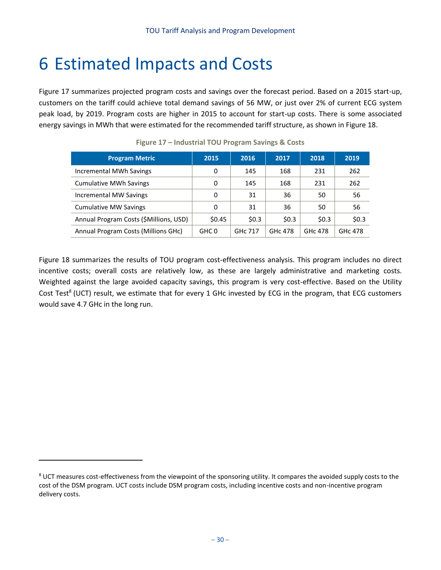# <span id="page-31-0"></span>6 Estimated Impacts and Costs

[Figure 17](#page-31-1) summarizes projected program costs and savings over the forecast period. Based on a 2015 start-up, customers on the tariff could achieve total demand savings of 56 MW, or just over 2% of current ECG system peak load, by 2019. Program costs are higher in 2015 to account for start-up costs. There is some associated energy savings in MWh that were estimated for the recommended tariff structure, as shown in Figure 18.

<span id="page-31-1"></span>

| <b>Program Metric</b>                  | 2015   | 2016                | 2017           | 2018                | 2019           |
|----------------------------------------|--------|---------------------|----------------|---------------------|----------------|
| Incremental MWh Savings                | 0      | 145                 | 168            | 231                 | 262            |
| <b>Cumulative MWh Savings</b>          | 0      | 145                 | 168            | 231                 | 262            |
| Incremental MW Savings                 | 0      | 31                  | 36             | 50                  | 56             |
| <b>Cumulative MW Savings</b>           | 0      | 31                  | 36             | 50                  | 56             |
| Annual Program Costs (\$Millions, USD) | \$0.45 | \$0.3\$             | \$0.3\$        | \$0.3               | \$0.3          |
| Annual Program Costs (Millions GHC)    | GHC 0  | GH <sub>c</sub> 717 | <b>GHC 478</b> | GH <sub>c</sub> 478 | <b>GHC 478</b> |

**Figure 17 – Industrial TOU Program Savings & Costs**

[Figure 18](#page-32-0) summarizes the results of TOU program cost-effectiveness analysis. This program includes no direct incentive costs; overall costs are relatively low, as these are largely administrative and marketing costs. Weighted against the large avoided capacity savings, this program is very cost-effective. Based on the Utility Cost Test<sup>8</sup> (UCT) result, we estimate that for every 1 GHc invested by ECG in the program, that ECG customers would save 4.7 GHc in the long run.

 $\overline{\phantom{a}}$ 

<sup>&</sup>lt;sup>8</sup> UCT measures cost-effectiveness from the viewpoint of the sponsoring utility. It compares the avoided supply costs to the cost of the DSM program. UCT costs include DSM program costs, including incentive costs and non-incentive program delivery costs.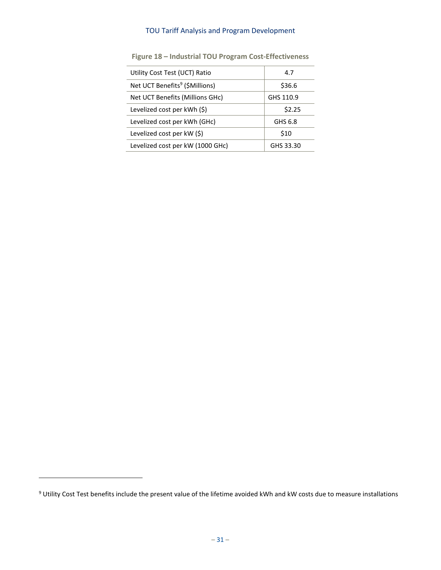<span id="page-32-0"></span>

| Utility Cost Test (UCT) Ratio              | 4.7       |  |
|--------------------------------------------|-----------|--|
| Net UCT Benefits <sup>9</sup> (\$Millions) | \$36.6    |  |
| Net UCT Benefits (Millions GHc)            | GHS 110.9 |  |
| Levelized cost per $kWh$ (\$)              | \$2.25    |  |
| Levelized cost per kWh (GHc)               | GHS 6.8   |  |
| Levelized cost per kW (\$)                 | \$10      |  |
| Levelized cost per kW (1000 GHc)           | GHS 33.30 |  |

**Figure 18 – Industrial TOU Program Cost-Effectiveness**

l

<sup>&</sup>lt;sup>9</sup> Utility Cost Test benefits include the present value of the lifetime avoided kWh and kW costs due to measure installations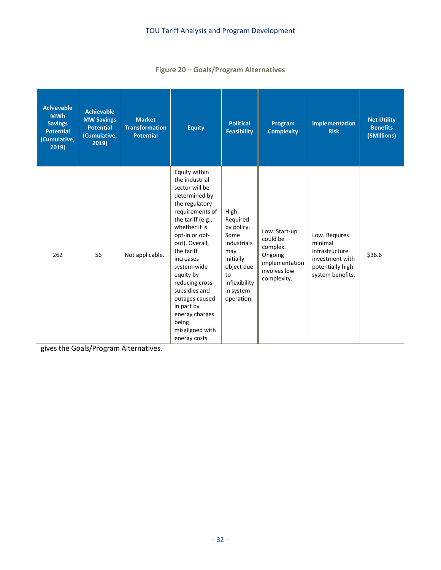### **Figure 20 – [Goals/Program Alternatives](#page-33-0)**

| <b>Achievable</b><br><b>MWh</b><br><b>Savings</b><br><b>Potential</b><br>(Cumulative,<br>2019) | <b>Achievable</b><br><b>MW Savings</b><br><b>Potential</b><br>Cumulative,<br>2019) | <b>Market</b><br><b>Transformation</b><br><b>Potential</b> | <b>Equity</b>                                                                                                                                                                                                                                                                                                                                                               | <b>Political</b><br><b>Feasibility</b>                                                                                                     | Program<br><b>Complexity</b>                                                                      | <b>Implementation</b><br><b>Risk</b>                                                                  | <b>Net Utility</b><br><b>Benefits</b><br>(\$Millions) |
|------------------------------------------------------------------------------------------------|------------------------------------------------------------------------------------|------------------------------------------------------------|-----------------------------------------------------------------------------------------------------------------------------------------------------------------------------------------------------------------------------------------------------------------------------------------------------------------------------------------------------------------------------|--------------------------------------------------------------------------------------------------------------------------------------------|---------------------------------------------------------------------------------------------------|-------------------------------------------------------------------------------------------------------|-------------------------------------------------------|
| 262                                                                                            | 56                                                                                 | Not applicable.                                            | Equity within<br>the industrial<br>sector will be<br>determined by<br>the regulatory<br>requirements of<br>the tariff (e.g.,<br>whether it is<br>opt-in or opt-<br>out). Overall,<br>the tariff<br>increases<br>system-wide<br>equity by<br>reducing cross-<br>subsidies and<br>outages caused<br>in part by<br>energy charges<br>being<br>misaligned with<br>energy costs. | High.<br>Required<br>by policy.<br>Some<br>industrials<br>may<br>initially<br>object due<br>to<br>inflexibility<br>in system<br>operation. | Low. Start-up<br>could be<br>complex.<br>Ongoing<br>implementation<br>involves low<br>complexity. | Low. Requires<br>minimal<br>infrastructure<br>investment with<br>potentially high<br>system benefits. | \$36.6                                                |

<span id="page-33-0"></span>gives the Goals/Program Alternatives.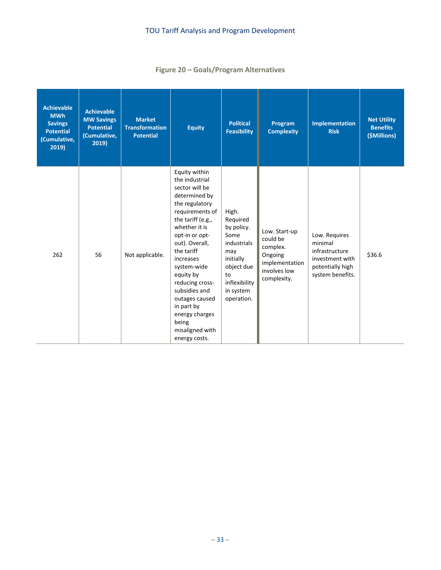### **Figure 20 – Goals/Program Alternatives**

| <b>Achievable</b><br><b>MWh</b><br><b>Savings</b><br><b>Potential</b><br>(Cumulative,<br>2019) | <b>Achievable</b><br><b>MW Savings</b><br><b>Potential</b><br>(Cumulative,<br>2019) | <b>Market</b><br><b>Transformation</b><br><b>Potential</b> | <b>Equity</b>                                                                                                                                                                                                                                                                                                                                                               | <b>Political</b><br><b>Feasibility</b>                                                                                                     | Program<br><b>Complexity</b>                                                                      | Implementation<br><b>Risk</b>                                                                         | <b>Net Utility</b><br><b>Benefits</b><br>(\$Millions) |
|------------------------------------------------------------------------------------------------|-------------------------------------------------------------------------------------|------------------------------------------------------------|-----------------------------------------------------------------------------------------------------------------------------------------------------------------------------------------------------------------------------------------------------------------------------------------------------------------------------------------------------------------------------|--------------------------------------------------------------------------------------------------------------------------------------------|---------------------------------------------------------------------------------------------------|-------------------------------------------------------------------------------------------------------|-------------------------------------------------------|
| 262                                                                                            | 56                                                                                  | Not applicable.                                            | Equity within<br>the industrial<br>sector will be<br>determined by<br>the regulatory<br>requirements of<br>the tariff (e.g.,<br>whether it is<br>opt-in or opt-<br>out). Overall,<br>the tariff<br>increases<br>system-wide<br>equity by<br>reducing cross-<br>subsidies and<br>outages caused<br>in part by<br>energy charges<br>being<br>misaligned with<br>energy costs. | High.<br>Required<br>by policy.<br>Some<br>industrials<br>may<br>initially<br>object due<br>to<br>inflexibility<br>in system<br>operation. | Low. Start-up<br>could be<br>complex.<br>Ongoing<br>implementation<br>involves low<br>complexity. | Low. Requires<br>minimal<br>infrastructure<br>investment with<br>potentially high<br>system benefits. | \$36.6                                                |